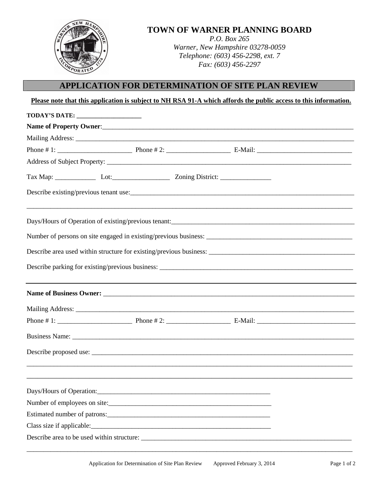| <b>TOWN OF WARNER PLANNING BOARD</b><br><i>P.O. Box 265</i><br>Warner, New Hampshire 03278-0059<br>Telephone: (603) 456-2298, ext. 7<br>Fax: (603) 456-2297 |  |
|-------------------------------------------------------------------------------------------------------------------------------------------------------------|--|
|                                                                                                                                                             |  |

## **APPLICATION FOR DETERMINATION OF SITE PLAN REVIEW**

| TODAY'S DATE: ______________________ |  |  |  |
|--------------------------------------|--|--|--|
|                                      |  |  |  |
|                                      |  |  |  |
|                                      |  |  |  |
|                                      |  |  |  |
|                                      |  |  |  |
|                                      |  |  |  |
|                                      |  |  |  |
|                                      |  |  |  |
|                                      |  |  |  |
|                                      |  |  |  |
|                                      |  |  |  |
|                                      |  |  |  |
|                                      |  |  |  |
|                                      |  |  |  |
|                                      |  |  |  |
|                                      |  |  |  |
|                                      |  |  |  |
|                                      |  |  |  |
| Number of employees on site:         |  |  |  |

\_\_\_\_\_\_\_\_\_\_\_\_\_\_\_\_\_\_\_\_\_\_\_\_\_\_\_\_\_\_\_\_\_\_\_\_\_\_\_\_\_\_\_\_\_\_\_\_\_\_\_\_\_\_\_\_\_\_\_\_\_\_\_\_\_\_\_\_\_\_\_\_\_\_\_\_\_\_\_\_\_\_\_\_\_\_\_\_\_\_\_\_\_\_\_\_